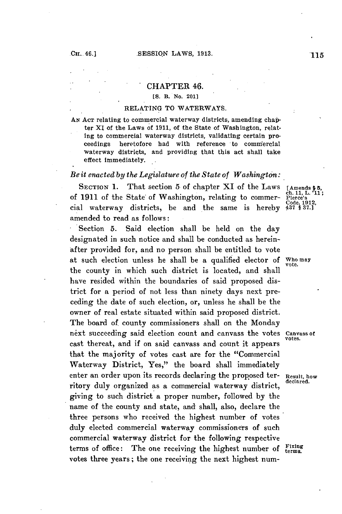### CHAPTER 46.

## **[S.** B. No. 201]

#### RELATING TO WATERWAYS.

**AN ACT** relating to commercial waterway districts, amending chapter XI of the Laws of **1911,** of the State of Washington, relating to commercial waterway districts, validating certain proceedings heretofore had with reference to commercial waterway districts, and providing that this act shall take effect immediately.

# *Be it enacted by the Legislatuzre of the State of Washington:*

SECTION 1. That section 5 of chapter XI of the Laws [Amends \$5, of 1911 of the State of Washington, relating to commer- Pierce's chall;  $L$ .'11; cial waterway districts, be and the same is hereby  $437$ ,  $837.$ ] cial waterway districts, be and the same is hereby amended to read as follows:

Section **5.** Said election shall be held on the day designated in such notice and shall be conducted as hereinafter provided for, and no person shall be entitled to vote at such election unless he shall be a qualified elector **of** Who **may vote.** the county in which such district is located, and shall have resided within the boundaries of said proposed district for a period of not less than ninety days next preceding the date of such election, or, unless he shall be the owner of real estate situated within said proposed district. The board of county commissioners shall on the Monday next succeeding said election count and canvass the votes **Canvass of** cast thereat, and if on said canvass and count it appears that the majority of votes cast are for the "Commercial Waterway District, Yes," the board shall immediately enter an order upon its records declaring the proposed ter- **Result, how** ritory duly organized as a commercial waterway district, giving to such district a proper number, followed **by** the name of the county and state, and shall, also, declare the three persons who received the highest number of votes duly elected commercial waterway commissioners of such commercial waterway district for the following respective terms of office: The one receiving the highest number of Fixing votes three years; the one receiving the next highest num-

**votes.**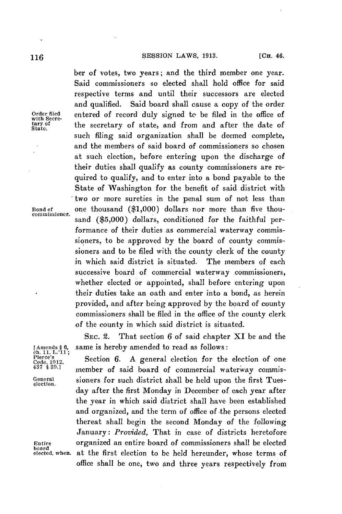ber of votes, two years; and the third member one year. Said commissioners so elected shall hold office for said respective terms and until their successors are elected and qualified. Said board shall cause a copy of the order Order filed entered of record duly signed to be filed in the office of tary of the secretary of state and from and after the date of **tary of** the secretary of state, and from and after the date of **State.** such filing said organization shall be deemed complete, and the members of said board of commissioners so chosen at such election, before entering upon the discharge of their duties shall qualify as county commissioners are required to qualify, and to enter into a bond payable to the State of Washington for the benefit of said district with two or more sureties in the penal sum of not less than **Bond of** one thousand **(\$1,000)** dollars nor more than five thousand **(\$5,000)** dollars, conditioned for the faithful performance of their duties as commercial waterway commissioners, to be approved **by** the board of county commissioners and to be filed with the county clerk of the county in which said district is situated. The members of each successive board of commercial waterway commissioners, whether elected or appointed, shall before entering upon their duties take an oath and enter into a bond, as herein provided, and after being approved **by** the board of county commissioners shall be filed in the office of the county clerk of the county in which said district is situated.

> SEc. 2. That section **6** of said chapter XI be and the same is hereby amended to read as follows:

Section 6. A general election for the election of one member of said board of commercial waterway commis-**General** sioners for such district shall be held upon the first Tues- **election.** day after the first Monday in December of each year after the year in which said district shall have been established and organized, and the term of office of the persons elected thereat shall begin the second Monday of the following January: *Provided,* That in case of districts heretofore **Entire** organized an entire board of commissioners shall be elected at the first election to be held hereunder, whose terms of office shall be one, two and three years respectively from

**commissioner.**

**IAmends § 6,<br>ch. 11, L.'11;**<br>Pierce's<br>Code. 1912,<br>437 § 39.]

board<br>elected, whe**n.**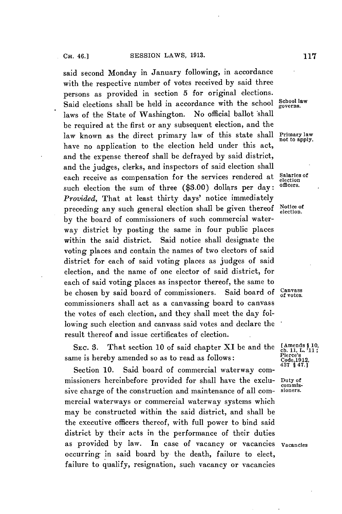said second Monday in January following, in accordance with the respective number of votes received **by** said three persons as provided in section **5** for original elections. Said elections shall be held in accordance with the school **School law** laws of the State of Washington. No official ballot shall be required at the first or any subsequent election, and the law known as the direct primary law of this state shall **Primary law** have no application to the election held under this act, and the expense thereof shall be defrayed **by** said district, and the judges, clerks, and inspectors of said election shall each receive as compensation for the services rendered at Salaries of such election the sum of three (\$3.00) dollars per day: *Provided,* That at least thirty days' notice immediately preceding any such general election shall be given thereof **Notice of election. by** the board of commissioners of such commercial waterway district **by** posting the same in four public places within the said district. Said notice shall designate the voting places and contain the names of two electors of said district for each of said voting places as judges of said election, and the name of one elector of said district, for each of said voting places as inspector thereof, the same to be chosen **by** said board of commissioners. Said board of **Canvass** commissioners shall act as a canvassing board to canvass the votes of each election, and they shall meet the day following such election and canvass said votes and declare the result thereof and issue certificates of election.

SEC. 3. That section 10 of said chapter XI be and the  $\frac{\text{[Ameads § 10,}}{\text{ch. 11, L. '11}}$ ;<br>same is hereby amended so as to read as follows:  $\frac{\text{[Code,1912,}}{\text{Code,1912,}}$ <br> $\frac{437 \text{ § 47.1}}{471}$ 

Section 10. Said board of commercial waterway commissioners hereinbefore provided for shall have the exclu- **Dnuty of** sive charge of the construction and maintenance of all commercial waterways or commercial waterway systems which may be constructed within the said district, and shall **be** the executive officers thereof, with full power to bind said district **by** their acts in the performance of their duties as provided **by** law. In case of vacancy or vacancies **Vacancies** occurring in said board **by** the death, failure to elect, failure to qualify, resignation, such vacancy or vacancies

**not to apply.**

**commis-**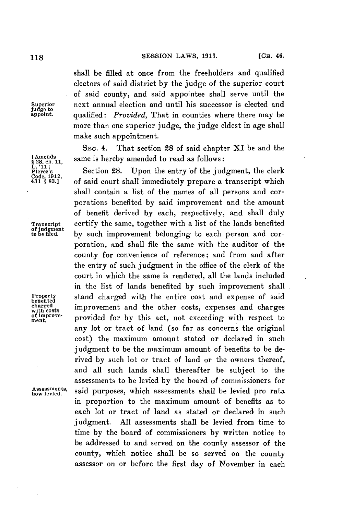# **118 SESSION LAWS, 1913. 1218 CH. 46.**

shall be filled at once from the freeholders and qualified electors of said district **by** the judge of the superior court of said county, and said appointee shall serve until the **Superior** next annual election and until his successor is elected and qualified: *Provided*, That in counties where there may be more than one superior judge, the judge eldest in age shall make such appointment.

**SEC.** 4. That section **28** of said chapter **XI** be and the [Amends<br>§ 28, ch. 11, same is hereby amended to read as follows:<br>*L*<sub>i</sub>-11; **example 11** Section 28. Upon the entry of the jud

**Section 28.** Upon the entry of the judgment, the clerk **<sup>431</sup>**1 **83.1** of said court shall immediately prepare a transcript which shall contain a list of the names of all persons and corporations benefited **by** said improvement and the amount of benefit derived **by** each, respectively, and shall duly **Transcript** certify the same, together with a list of the lands benefited **to be filed.** by such improvement belonging to each person and corporation, and shall file the same with the auditor of the county for convenience of reference; and from and after the entry of such judgment in the office of the clerk of the court in which the same is rendered, all the lands included in the list of lands benefited **by** such improvement shall Property stand charged with the entire cost and expense of said<br>benefited improvement and the other costs expenses and charges charged improvement and the other costs, expenses and charges<br>with costs<br>of improve-<br>and for by this act, not creased in with perpect to **fien.prove-** provided for **by** this act, not exceeding with respect to any lot or tract of land (so far as concerns the original cost) the maximum amount stated or declared in such judgment to be the maximum amount of benefits to be derived **by** such lot or tract of land or the owners thereof, and all such lands shall thereafter be subject to the assessments to be levied **by** the board of commissioners for said purposes, which assessments shall be levied pro rata in proportion to the maximum amount of benefits as to each lot or tract of land as stated or declared in such judgment. **All** assessments shall be levied from time to time **by** the board of commissioners **by** written notice to be addressed to and served on the county assessor of the county, which notice shall be so served on the county assessor on or before the first day of November in each

**judge to**

**Code, 1912,**

of **Judgment**<br>to be filed.

**Assessments,**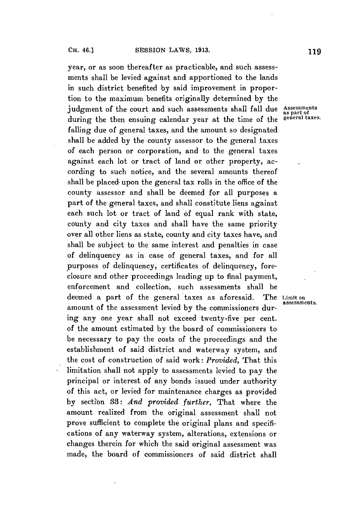year, or as soon thereafter as practicable, and such assessments shall be levied against and apportioned to the lands in such district benefited **by** said improvement in proportion to the maximum benefits originally determined **by** the judgment of the court and such assessments shall fall due Assessments during the then ensuing calendar year at the time of the **general taxes.** falling due of general taxes, and the amount so designated shall be added **by** the county assessor to the general taxes of each person or corporation, and to the general taxes against each lot or tract of land or other property, according to such notice, and the several amounts thereof shall be placed- upon the general tax rolls in the office of the county assessor and shall be deemed for all purposes **a** part of the general taxes, and shall constitute liens against each such lot or tract of land **of** equal rank with state, county and city taxes and shall have the same priority over all other liens as state, county and city taxes have, and shall be subject to the same interest and penalties in case of delinquency as in case of general taxes, and for all purposes of delinquency, certificates of delinquency, foreclosure and other proceedings leading up to final payment, enforcement and collection, such assessments shall be deemed a part of the general taxes as aforesaid. The Limit on amount of the assessment levied **by** the commissioners during any one year shall not exceed twenty-five per cent. of the amount estimated **by** the board of commissioners to be necessary to pay the costs of the proceedings and the establishment of said district and waterway system, and the cost of construction of said work: *Provided,* That this limitation shall not apply to assessments levied to pay the principal or interest of any bonds issued under authority of this act, or levied for maintenance charges as provided by section 33: And provided further, That where the amount realized from the original assessment shall not prove sufficient to complete the original plans and specifications of any waterway system, alterations, extensions or changes therein for which the said original assessment was

made, the board of commissioners of said district shall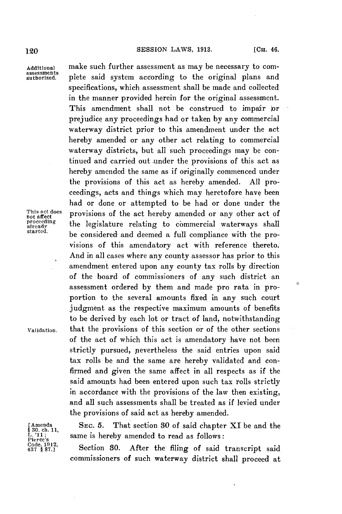## 120 **SESSION** LAWS, **1913. [CH.** 46.

 $\circ$ 

Additional make such further assessment as may be necessary to com-<br>
assessments authorized. plete said system according to the original plans and specifications, which assessment shall be made and collected in the manner provided herein for the original assessment. This amendment shall not be construed to impair or prejudice any proceedings had or taken **by** any commercial waterway district prior to this amendment under the act hereby amended or any other act relating to commercial waterway districts, but all such proceedings may be continued and carried out under the provisions of this act as hereby amended the same as if originally commenced under the provisions of this act as hereby amended. **All** proceedings, acts and things which may heretofore have been had or done or attempted to be had or done under the This act does<br>not affect  $\mathbf{r}$  provisions of the act hereby amended or any other act of<br>proceeding  $\mathbf{r}$  is logiclature relating to characterial retains in the line proceeding the legislature relating to commercial waterways shall stready be considered and deemed a full compliance with the provisions of this amendatory act with reference thereto. And in all cases where any county assessor has prior to this amendment entered upon any county tax rolls **by** direction of the board of commissioners of any such district an assessment ordered **by** them and made pro rata in proportion to the several amounts fixed in any such court judgment as the respective maximum amounts of benefits to be derived **by** each lot or tract of land, notwithstanding validation, that the provisions of this section or of the other sections of the act of which this act is amendatory have not been strictly pursued, nevertheless the said entries upon said tax rolls be and the same are hereby validated and confirmed and given the same affect in all respects as if the said amounts had been entered upon such tax rolls strictly in accordance with the provisions of the law then existing, and all such assessments shall be treated as if levied under the provisions of said act as hereby amended.

[Amends Sec. 5. That section 30 of said chapter XI be and the  $\frac{1}{k}$ . '11;<br>  $\frac{1}{k}$ ; '11; same is hereby amended to read as follows:<br>  $\frac{1}{k}$ ;  $\frac{1}{k}$ ;  $\frac{1}{k}$ ; same is hereby amended to read as follows:<br>  $\frac{1}{$ 

Locade. 1912,<br>437<sup>8</sup>87.] **Section 30.** After the filing of said transcript said commissioners of such waterway district shall proceed at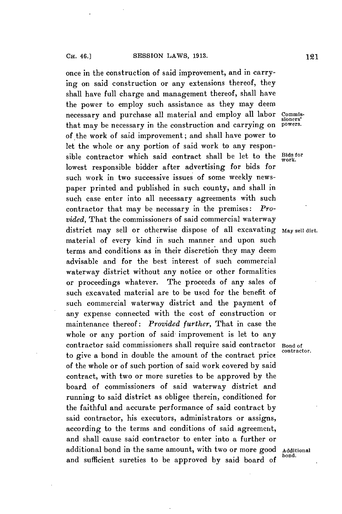once in the construction of said improvement, and in carrying on said construction or any extensions thereof, they shall have full charge and management thereof, shall have the power to employ such assistance as they may deem necessary and purchase all material and employ all labor commisthat may be necessary in the construction and carrying on of the work of said improvement; and shall have power to let the whole or any portion of said work to any responsible contractor which said contract shall be let to the **Bids for** lowest responsible bidder after advertising for bids for such work in two successive issues of some weekly newspaper printed and published in such county, and shall in such case enter into all necessary agreements with such contractor that may be necessary in the premises: *Provided,* That the commissioners of said commercial waterway district may sell or otherwise dispose of all excavating **May sell dirt.** material of every kind in such manner and upon such terms and conditions as in their discretion they may deem advisable and for the best interest of such commercial waterway district without any notice or other formalities or proceedings whatever. The proceeds of any sales of such excavated material are to be used for the benefit of such commercial waterway district and the payment of any expense connected with the cost of construction or maintenance thereof: *Provided further,* That in case the whole or any portion of said improvement is let to any contractor said commissioners shall require said contractor **Bond of** to give a bond in double the amount of the contract price of the whole or of such portion of said work covered **by** said contract, with two or more sureties to be approved **by** the board of commissioners of said waterway district and running to said district as obligee therein, conditioned for the faithful and accurate performance of said contract **by** said contractor, his executors, administrators or assigns, according to the terms and conditions of said agreement, and shall cause said contractor to enter into a further or additional bond in the same amount, with two or more good **Additional bond.** and sufficient sureties to be approved by said board of

sioners'<br>powers.

**work.**

**contractor.**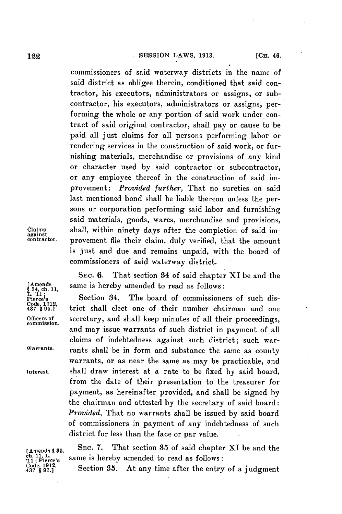**122 CH. CH. CH. CH. CH. CH. CH. CH. CH. CH. CH. CH. CH. CH. CH. CH. CH. CH. CH. CH. CH. CH. CH. CH. CH. CH. CH. CH. CH. CH. CH. CH. CH. CH. CH. CH.**

commissioners of said waterway districts in the name of said district as obligee therein, conditioned that said contractor, his executors, administrators or assigns, or subcontractor, his executors, administrators or assigns, performing the whole or any portion of said work under contract of said original contractor, shall pay or cause to be paid all just claims for all persons performing labor or rendering services in the construction of said work, or furnishing materials, merchandise or provisions of any kind or character used **by** said contractor or subcontractor, or any employee thereof in the construction of said improvement: *Provided further,* That no sureties on said last mentioned bond shall be liable thereon unless the persons or corporation performing said labor and furnishing said materials, goods, wares, merchandise and provisions, **Claims** shall, within ninety days after the completion of said im- **against** provement file their claim, duly verified, that the amount is just and due and remains unpaid, with the board of commissioners of said waterway district.

**[Amends** same is hereby amended to read as follows: **§34, ch. 11, S** 34, ch. 11,<br>L. '11;<br>Pierce's

**Pierce's** Section 34. The board of commissioners of such dis- **Code. 1912** trict shall elect one of their number chairman and one **Officers of** secretary, and shall keep minutes of all their proceedings, **commission.** and may issue warrants of such district in payment of all claims of indebtedness against such district; such war-**Warrants.** rants shall be in form and substance the same as county warrants, or as near the same as may be practicable, and **interest.** shall draw interest at a rate to be fixed **by** said board, from the date of their presentation to the treasurer for payment, as hereinafter provided, and shall be signed **by** the chairman and attested **by** the secretary of said board: *Provided,* That no warrants shall be issued **by** said board of commissioners in payment of any indebtedness of such district for less than the face or par value.

**SEC. 6.** That section 34 of said chapter XI be and the

**[Amends §35, SEC. 7.** That section **35** of said chapter XI be and the ch. 11, L.<br>'11; Pierce's same is hereby amended to read as follows:<br>Code, 1912, Section 35. At any time after the entry

Section 35. At any time after the entry of a judgment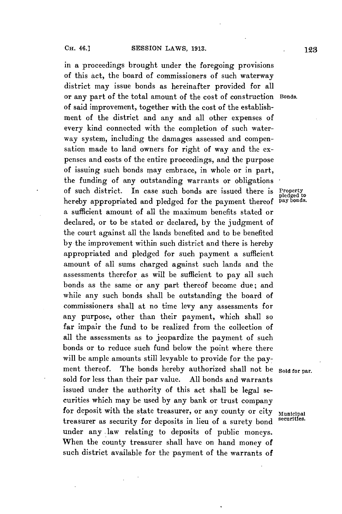in a proceedings brought under the foregoing provisions of this act, the board of commissioners of such waterway district may issue bonds as hereinafter provided for all or any part of the total amount of the cost of construction Bonds. of said improvement, together with the cost of the establishment of the district and any and all other expenses of every kind connected with the completion of such waterway system, including the damages assessed and compensation made to land owners for right of way and the expenses and costs of the entire proceedings, and the purpose of issuing such bonds may embrace, in whole or in part, the funding of any outstanding warrants or obligations of such district. In case such bonds are issued there is **Property pledged to** hereby appropriated and pledged for the payment thereof **pay bonds.** a sufficient amount of all the maximum benefits stated or declared, or to be stated or declared, **by** the judgment of the court against all the lands benefited and to be benefited **by** the improvement within such district and there is hereby appropriated and pledged for such payment a sufficient amount of all sums charged against such lands and the assessments therefor as will be sufficient to pay all such bonds as the same or any part thereof become due; and while any such bonds shall be outstanding the board of commissioners shall at no time levy any assessments for any purpose, other than their payment, which shall so far impair the fund to be realized from the collection of all the assessments as to jeopardize the payment of such bonds or to reduce such fund below the point where there will be ample amounts still levyable to provide for the payment thereof. The bonds hereby authorized shall not be Sold for par. sold for less than their par value. **All** bonds and warrants issued under the authority of this act shall be legal securities which may be used **by** any bank or trust company for deposit with the state treasurer, or any county or city Municipal treasurer as security for deposits in lieu of a surety bond under any law relating to deposits of public moneys. When the county treasurer shall have on hand money of such district available for the payment of the warrants of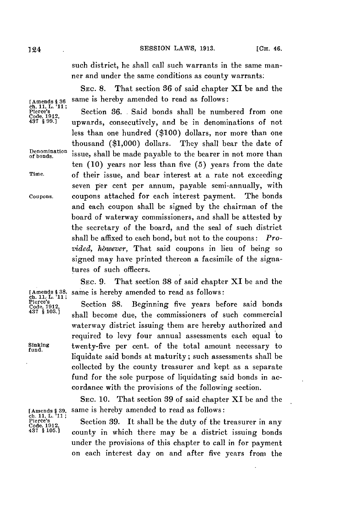such district, he shall call such warrants in the same manner and under the same conditions as county warrants.

SEc. **8.** That section **86** of said chapter XI be and the [Amends § 36 same is hereby amended to read as follows:<br> **ch.** 11, L.<sup>1</sup>11;<br> **Plerce's** 

pierce's **chains**<br>Code, 1912,<br>437, 899.1<br>437, 899.1 **unwards** consecutively and be in denominations of not **Code, 1912,** <sup>437</sup>**§ 99.1** upwards, consecutively, and be in denominations of not less than one hundred **(\$100)** dollars, nor more than one thousand **(\$1,000)** dollars. They shall bear the date of **EXECUTE: CONSANG (51,000)** dollars. Incy shall bear the date of<br>
<u>Denomination</u> issue, shall be made payable to the bearer in not more than ten **(10)** years nor less than five **(5)** years from the date **Time.** of their issue, and bear interest at a rate not exceeding seven per cent per annum, payable semi-annually, with **Coupons.** coupons attached for each interest payment. The bonds and each coupon shall be signed **by** the chairman of the board of waterway commissioners, and shall be attested **by** the secretary of the board, and the seal of such district shall be affixed to each bond, but not to the coupons: *Provided, hbwever,* That said coupons in lieu of being so signed may have printed thereon a facsimile of the signatures of such officers.

**SEc. 9.** That section **88** of said chapter XI be and the **[Amends § 38,** same is hereby amended to read as follows:

Section 38. Beginning five years before said bonds **437 § 103.]** shall become due, the commissioners of such commercial waterway district issuing them are hereby authorized and required to levy four annual assessments each equal to **Sinking** twenty-five per cent. of the total amount necessary to **fund.** liquidate said bonds at maturity; such assessments shall **be** collected **by** the county treasurer and kept as a separate fund for the sole purpose of liquidating said bonds in accordance with the provisions **of** the following section.

> SEC. **10.** That section **39** of said chapter **XI** be and the same is hereby amended to read as follows:

> **Section 39.** It shall be the duty of the treasurer in any county in which there may be a district issuing bonds under the provisions of this chapter to call in for payment on each interest day on and after five years from the

Pierce's<br>Code, 1912,<br>437 § 103.]

- 
-